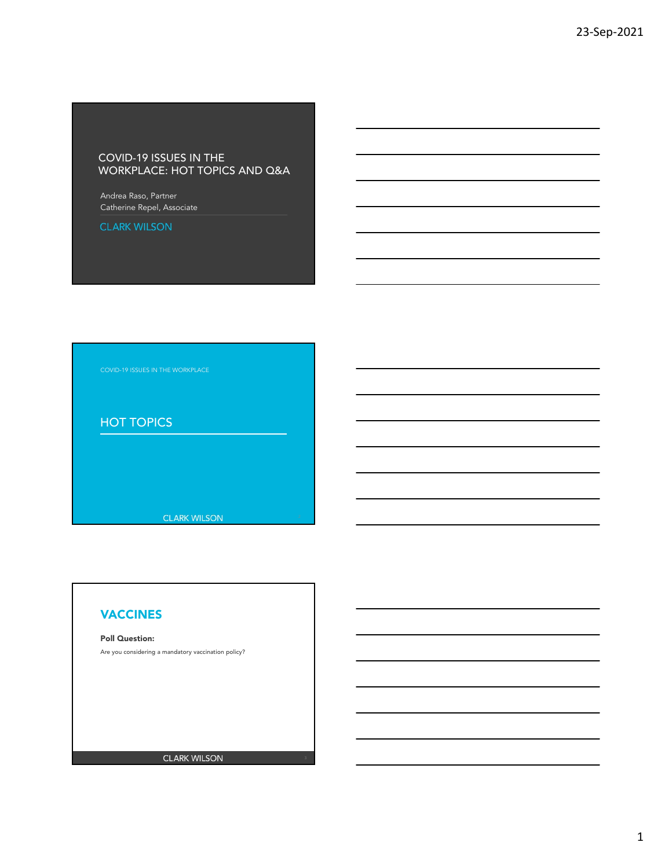## COVID-19 ISSUES IN THE WORKPLACE: HOT TOPICS AND Q&A

Andrea Raso, Partner Catherine Repel, Associate

**CLARK WILSON** 

# HOT TOPICS

**CLARK WILSON** 

## VACCINES

### Poll Question:

Are you considering a mandatory vaccination policy?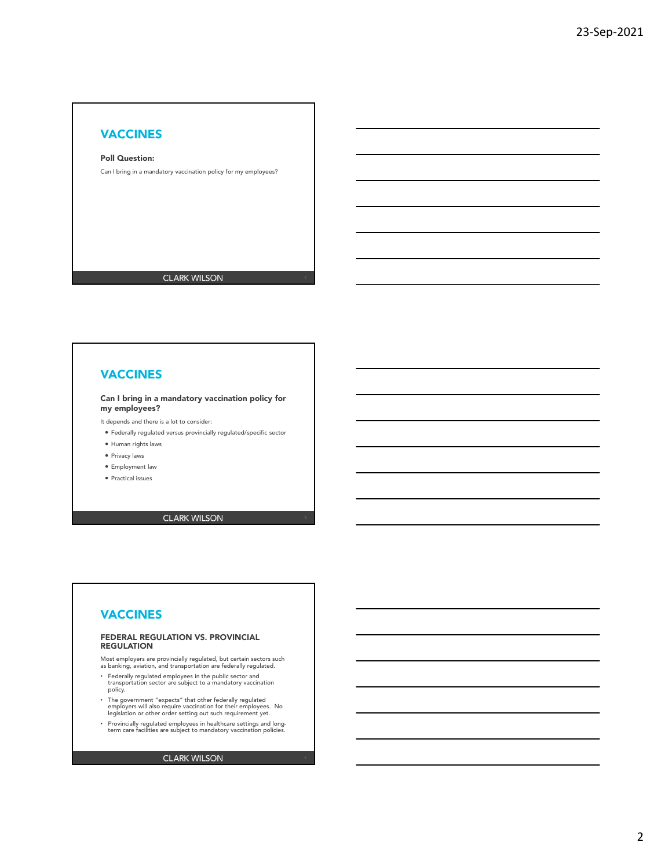### Poll Question:

Can I bring in a mandatory vaccination policy for my employees?

**CLARK WILSON** 

## VACCINES

#### Can I bring in a mandatory vaccination policy for my employees?

- It depends and there is a lot to consider:
- Federally regulated versus provincially regulated/specific sector
- Human rights laws
- Privacy laws
- Employment law
- Practical issues

### **CLARK WILSON**

## VACCINES

#### FEDERAL REGULATION VS. PROVINCIAL **REGULATION**

Most employers are provincially regulated, but certain sectors such as banking, aviation, and transportation are federally regulated.

- Federally regulated employees in the public sector and transportation sector are subject to a mandatory vaccination policy.
- The government "expects" that other federally regulated employers will also require vaccination for their employees. No legislation or other order setting out such requirement yet.
- Provincially regulated employees in healthcare settings and long-term care facilities are subject to mandatory vaccination policies.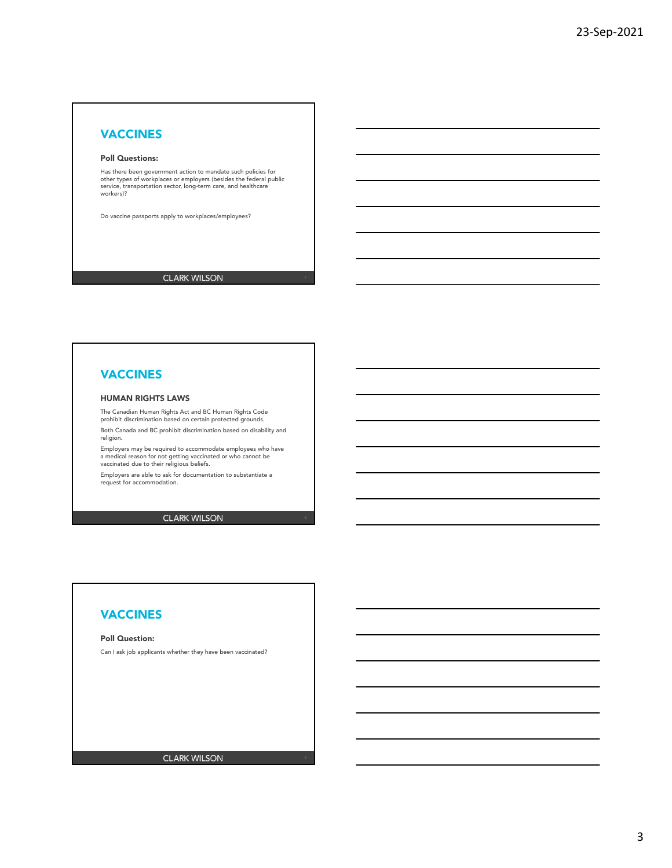#### Poll Questions:

Has there been government action to mandate such policies for other types of workplaces or employers (besides the federal public service, transportation sector, long-term care, and healthcare workers)?

Do vaccine passports apply to workplaces/employees?

**CLARK WILSON** 

# VACCINES

### HUMAN RIGHTS LAWS

The Canadian Human Rights Act and BC Human Rights Code prohibit discrimination based on certain protected grounds.

Both Canada and BC prohibit discrimination based on disability and religion.

Employers may be required to accommodate employees who have a medical reason for not getting vaccinated or who cannot be vaccinated due to their religious beliefs.

Employers are able to ask for documentation to substantiate a request for accommodation.

**CLARK WILSON** 

## VACCINES

#### Poll Question:

Can I ask job applicants whether they have been vaccinated?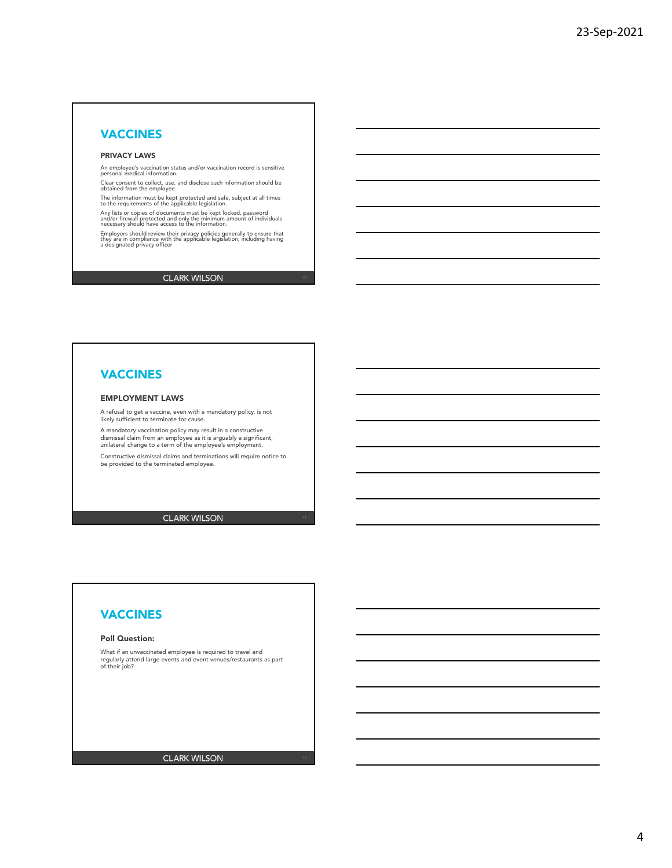### PRIVACY LAWS

An employee's vaccination status and/or vaccination record is sensitive personal medical information.

.<br>Clear consent to collect, use, and disclose such information should be obtained from the employee.

The information must be kept protected and safe, subject at all times to the requirements of the applicable legislation.

Any lists or copies of documents must be kept locked, password<br>and/or firewall protected and only the minimum amount of individuals<br>necessary should have access to the information.

Employers should review their privacy policies generally to ensure that they are in compliance with the applicable legislation, including having a designated privacy officer

### **CLARK WILSON**

# VACCINES

#### EMPLOYMENT LAWS

A refusal to get a vaccine, even with a mandatory policy, is not likely sufficient to terminate for cause.

A mandatory vaccination policy may result in a constructive dismissal claim from an employee as it is arguably a significant, unilateral change to a term of the employee's employment.

Constructive dismissal claims and terminations will require notice to be provided to the terminated employee.

**CLARK WILSON** 

## VACCINES

#### Poll Question:

What if an unvaccinated employee is required to travel and regularly attend large events and event venues/restaurants as part of their job?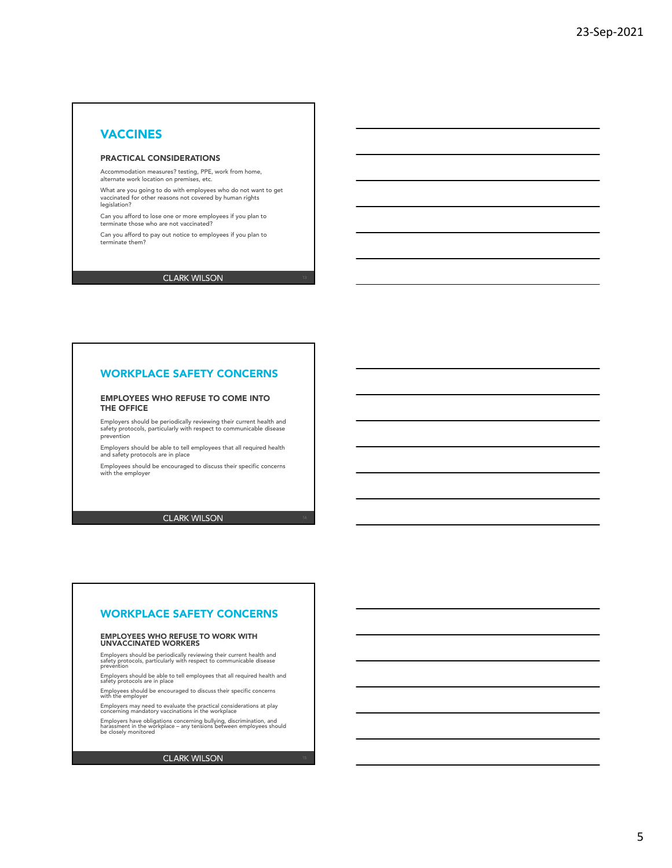### PRACTICAL CONSIDERATIONS

Accommodation measures? testing, PPE, work from home, alternate work location on premises, etc.

What are you going to do with employees who do not want to get vaccinated for other reasons not covered by human rights legislation?

Can you afford to lose one or more employees if you plan to terminate those who are not vaccinated?

Can you afford to pay out notice to employees if you plan to terminate them?

### **CLARK WILSON**

## WORKPLACE SAFETY CONCERNS

#### EMPLOYEES WHO REFUSE TO COME INTO THE OFFICE

Employers should be periodically reviewing their current health and safety protocols, particularly with respect to communicable disease prevention

Employers should be able to tell employees that all required health and safety protocols are in place

Employees should be encouraged to discuss their specific concerns with the employer

### **CLARK WILSON**

### WORKPLACE SAFETY CONCERNS

# EMPLOYEES WHO REFUSE TO WORK WITH UNVACCINATED WORKERS

Employers should be periodically reviewing their current health and<br>safety protocols, particularly with respect to communicable disease<br>prevention

Employers should be able to tell employees that all required health and safety protocols are in place

Employees should be encouraged to discuss their specific concerns with the employer

Employers may need to evaluate the practical considerations at play concerning mandatory vaccinations in the workplace

Employers have obligations concerning bullying, discrimination, and harassment in the workplace – any tensions between employees should be closely monitored